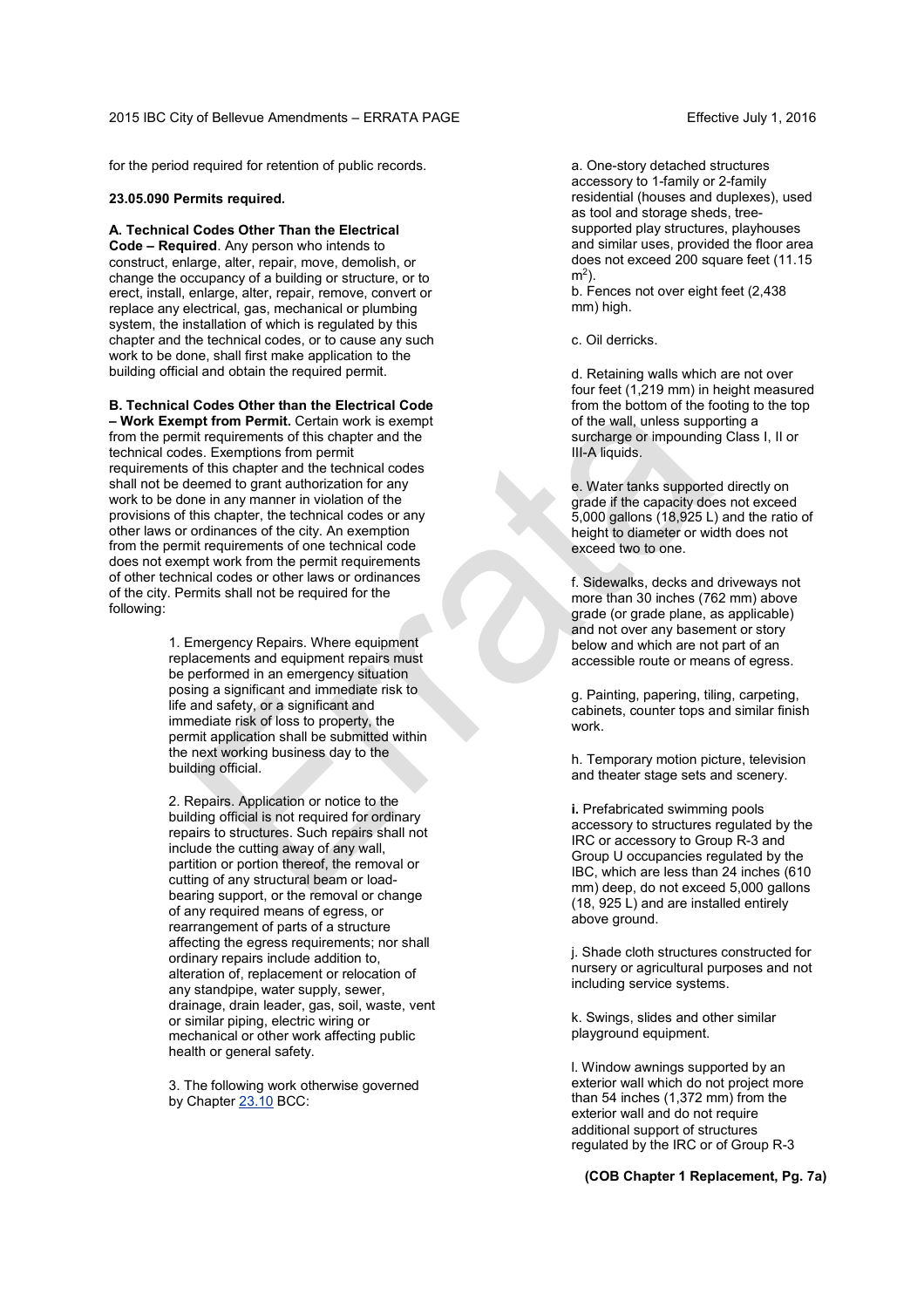for the period required for retention of public records.

### **23.05.090 Permits required.**

**A. Technical Codes Other Than the Electrical Code – Required**. Any person who intends to construct, enlarge, alter, repair, move, demolish, or change the occupancy of a building or structure, or to erect, install, enlarge, alter, repair, remove, convert or replace any electrical, gas, mechanical or plumbing system, the installation of which is regulated by this chapter and the technical codes, or to cause any such work to be done, shall first make application to the building official and obtain the required permit.

**B. Technical Codes Other than the Electrical Code – Work Exempt from Permit.** Certain work is exempt from the permit requirements of this chapter and the technical codes. Exemptions from permit requirements of this chapter and the technical codes shall not be deemed to grant authorization for any work to be done in any manner in violation of the provisions of this chapter, the technical codes or any other laws or ordinances of the city. An exemption from the permit requirements of one technical code does not exempt work from the permit requirements of other technical codes or other laws or ordinances of the city. Permits shall not be required for the following:

> 1. Emergency Repairs. Where equipment replacements and equipment repairs must be performed in an emergency situation posing a significant and immediate risk to life and safety, or a significant and immediate risk of loss to property, the permit application shall be submitted within the next working business day to the building official.

2. Repairs. Application or notice to the building official is not required for ordinary repairs to structures. Such repairs shall not include the cutting away of any wall, partition or portion thereof, the removal or cutting of any structural beam or loadbearing support, or the removal or change of any required means of egress, or rearrangement of parts of a structure affecting the egress requirements; nor shall ordinary repairs include addition to, alteration of, replacement or relocation of any standpipe, water supply, sewer, drainage, drain leader, gas, soil, waste, vent or similar piping, electric wiring or mechanical or other work affecting public health or general safety.

3. The following work otherwise governed by Chapter 23.10 BCC:

a. One-story detached structures accessory to 1-family or 2-family residential (houses and duplexes), used as tool and storage sheds, treesupported play structures, playhouses and similar uses, provided the floor area does not exceed 200 square feet (11.15 m<sup>2</sup> ).

b. Fences not over eight feet (2,438 mm) high.

c. Oil derricks.

d. Retaining walls which are not over four feet (1,219 mm) in height measured from the bottom of the footing to the top of the wall, unless supporting a surcharge or impounding Class I, II or III-A liquids.

e. Water tanks supported directly on grade if the capacity does not exceed 5,000 gallons (18,925 L) and the ratio of height to diameter or width does not exceed two to one.

f. Sidewalks, decks and driveways not more than 30 inches (762 mm) above grade (or grade plane, as applicable) and not over any basement or story below and which are not part of an accessible route or means of egress.

g. Painting, papering, tiling, carpeting, cabinets, counter tops and similar finish work.

h. Temporary motion picture, television and theater stage sets and scenery.

**i.** Prefabricated swimming pools accessory to structures regulated by the IRC or accessory to Group R-3 and Group U occupancies regulated by the IBC, which are less than 24 inches (610 mm) deep, do not exceed 5,000 gallons (18, 925 L) and are installed entirely above ground.

j. Shade cloth structures constructed for nursery or agricultural purposes and not including service systems.

k. Swings, slides and other similar playground equipment.

l. Window awnings supported by an exterior wall which do not project more than 54 inches (1,372 mm) from the exterior wall and do not require additional support of structures regulated by the IRC or of Group R-3

### **(COB Chapter 1 Replacement, Pg. 7a)**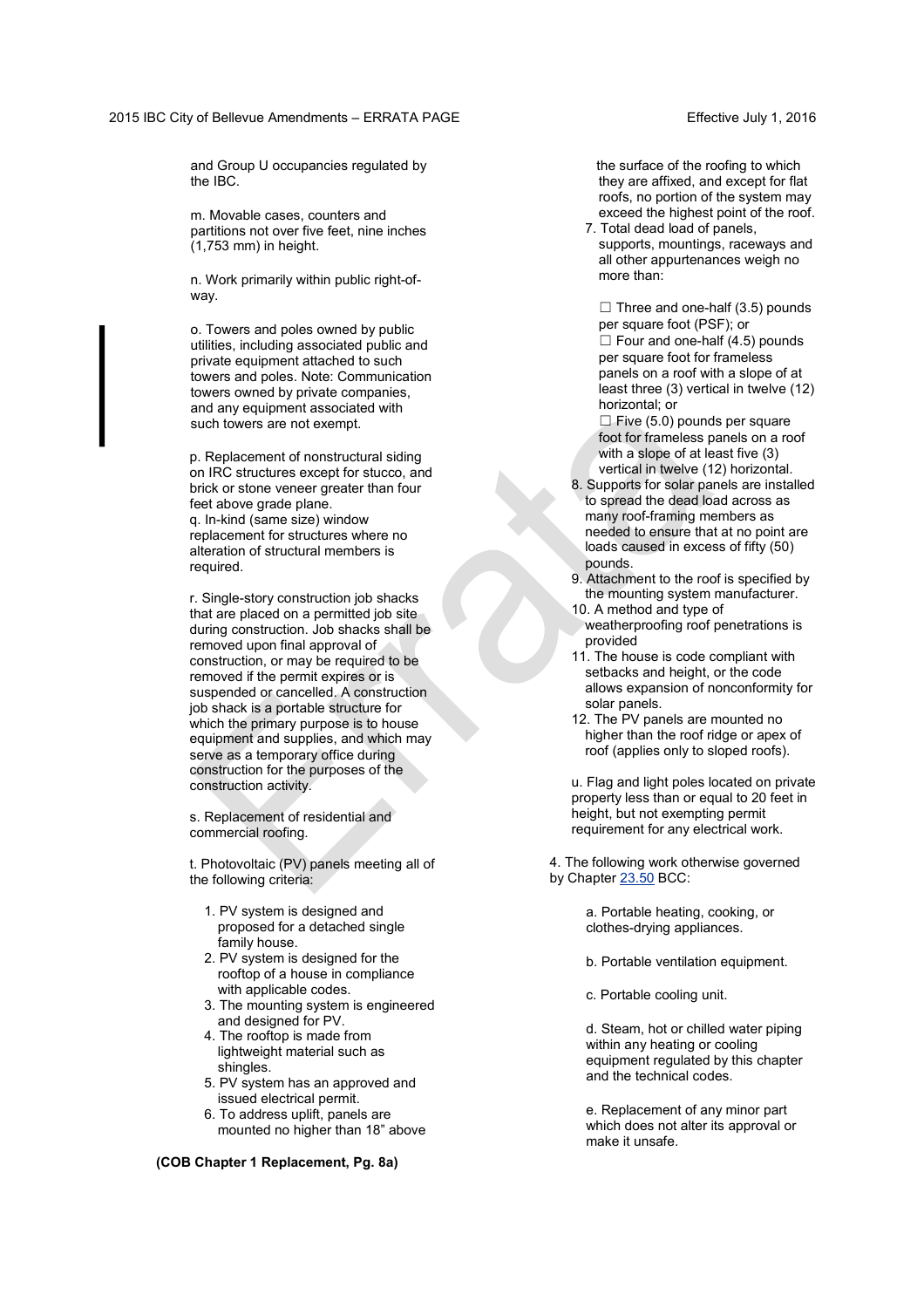and Group U occupancies regulated by the IBC.

m. Movable cases, counters and partitions not over five feet, nine inches (1,753 mm) in height.

n. Work primarily within public right-ofway.

o. Towers and poles owned by public utilities, including associated public and private equipment attached to such towers and poles. Note: Communication towers owned by private companies, and any equipment associated with such towers are not exempt.

p. Replacement of nonstructural siding on IRC structures except for stucco, and brick or stone veneer greater than four feet above grade plane. q. In-kind (same size) window replacement for structures where no alteration of structural members is required.

r. Single-story construction job shacks that are placed on a permitted job site during construction. Job shacks shall be removed upon final approval of construction, or may be required to be removed if the permit expires or is suspended or cancelled. A construction job shack is a portable structure for which the primary purpose is to house equipment and supplies, and which may serve as a temporary office during construction for the purposes of the construction activity.

s. Replacement of residential and commercial roofing.

t. Photovoltaic (PV) panels meeting all of the following criteria:

- 1. PV system is designed and proposed for a detached single family house.
- 2. PV system is designed for the rooftop of a house in compliance with applicable codes.
- 3. The mounting system is engineered and designed for PV.
- 4. The rooftop is made from lightweight material such as shingles.
- 5. PV system has an approved and issued electrical permit.
- 6. To address uplift, panels are mounted no higher than 18" above

# **(COB Chapter 1 Replacement, Pg. 8a)**

the surface of the roofing to which they are affixed, and except for flat roofs, no portion of the system may exceed the highest point of the roof.

7. Total dead load of panels, supports, mountings, raceways and all other appurtenances weigh no more than:

 $\Box$  Three and one-half (3.5) pounds per square foot (PSF); or  $\Box$  Four and one-half (4.5) pounds per square foot for frameless panels on a roof with a slope of at least three (3) vertical in twelve (12) horizontal; or

 $\Box$  Five (5.0) pounds per square foot for frameless panels on a roof with a slope of at least five (3) vertical in twelve (12) horizontal.

- 8. Supports for solar panels are installed to spread the dead load across as many roof-framing members as needed to ensure that at no point are loads caused in excess of fifty (50) pounds.
- 9. Attachment to the roof is specified by the mounting system manufacturer.
- 10. A method and type of weatherproofing roof penetrations is provided
- 11. The house is code compliant with setbacks and height, or the code allows expansion of nonconformity for solar panels.
- 12. The PV panels are mounted no higher than the roof ridge or apex of roof (applies only to sloped roofs).

u. Flag and light poles located on private property less than or equal to 20 feet in height, but not exempting permit requirement for any electrical work.

4. The following work otherwise governed by Chapter 23.50 BCC:

> a. Portable heating, cooking, or clothes-drying appliances.

- b. Portable ventilation equipment.
- c. Portable cooling unit.

d. Steam, hot or chilled water piping within any heating or cooling equipment regulated by this chapter and the technical codes.

e. Replacement of any minor part which does not alter its approval or make it unsafe.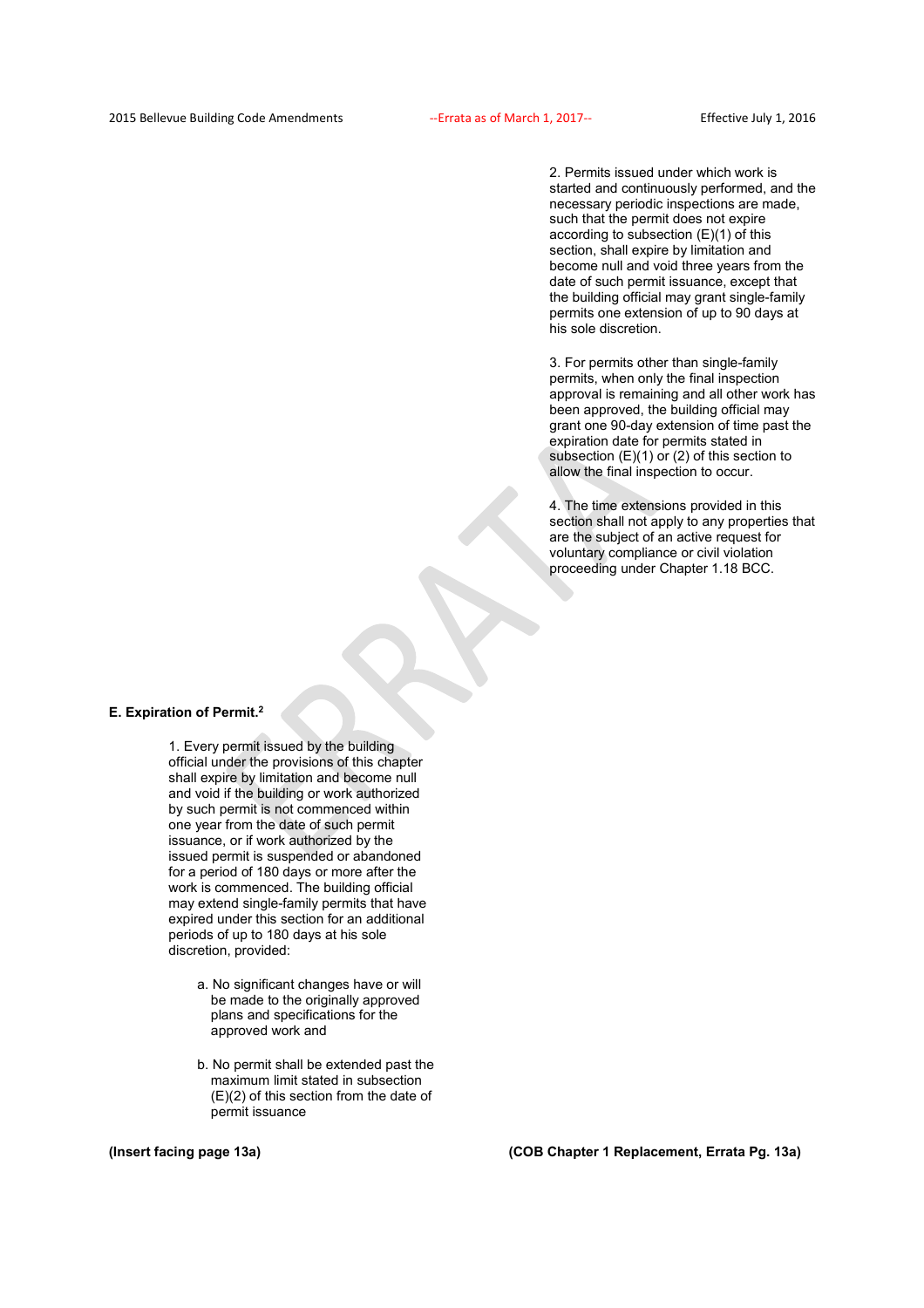2. Permits issued under which work is started and continuously performed, and the necessary periodic inspections are made, such that the permit does not expire according to subsection (E)(1) of this section, shall expire by limitation and become null and void three years from the date of such permit issuance, except that the building official may grant single-family permits one extension of up to 90 days at his sole discretion.

3. For permits other than single-family permits, when only the final inspection approval is remaining and all other work has been approved, the building official may grant one 90-day extension of time past the expiration date for permits stated in subsection (E)(1) or (2) of this section to allow the final inspection to occur.

4. The time extensions provided in this section shall not apply to any properties that are the subject of an active request for voluntary compliance or civil violation proceeding under Chapter 1.18 BCC.

# **E. Expiration of Permit.<sup>2</sup>**

1. Every permit issued by the building official under the provisions of this chapter shall expire by limitation and become null and void if the building or work authorized by such permit is not commenced within one year from the date of such permit issuance, or if work authorized by the issued permit is suspended or abandoned for a period of 180 days or more after the work is commenced. The building official may extend single-family permits that have expired under this section for an additional periods of up to 180 days at his sole discretion, provided:

- a. No significant changes have or will be made to the originally approved plans and specifications for the approved work and
- b. No permit shall be extended past the maximum limit stated in subsection (E)(2) of this section from the date of permit issuance

**(Insert facing page 13a) (COB Chapter 1 Replacement, Errata Pg. 13a)**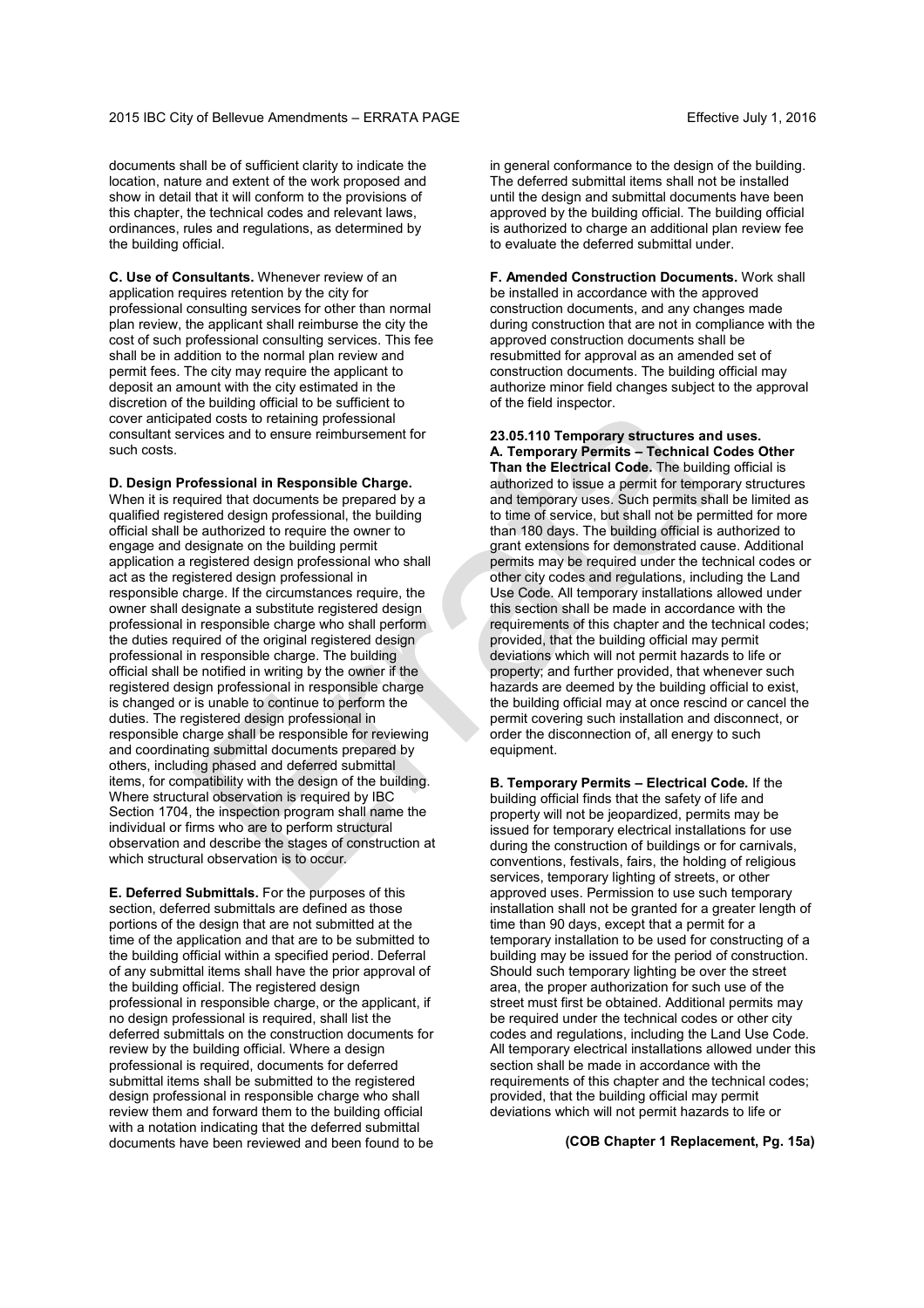documents shall be of sufficient clarity to indicate the location, nature and extent of the work proposed and show in detail that it will conform to the provisions of this chapter, the technical codes and relevant laws, ordinances, rules and regulations, as determined by the building official.

**C. Use of Consultants.** Whenever review of an application requires retention by the city for professional consulting services for other than normal plan review, the applicant shall reimburse the city the cost of such professional consulting services. This fee shall be in addition to the normal plan review and permit fees. The city may require the applicant to deposit an amount with the city estimated in the discretion of the building official to be sufficient to cover anticipated costs to retaining professional consultant services and to ensure reimbursement for such costs.

# **D. Design Professional in Responsible Charge.**

When it is required that documents be prepared by a qualified registered design professional, the building official shall be authorized to require the owner to engage and designate on the building permit application a registered design professional who shall act as the registered design professional in responsible charge. If the circumstances require, the owner shall designate a substitute registered design professional in responsible charge who shall perform the duties required of the original registered design professional in responsible charge. The building official shall be notified in writing by the owner if the registered design professional in responsible charge is changed or is unable to continue to perform the duties. The registered design professional in responsible charge shall be responsible for reviewing and coordinating submittal documents prepared by others, including phased and deferred submittal items, for compatibility with the design of the building. Where structural observation is required by IBC Section 1704, the inspection program shall name the individual or firms who are to perform structural observation and describe the stages of construction at which structural observation is to occur.

**E. Deferred Submittals.** For the purposes of this section, deferred submittals are defined as those portions of the design that are not submitted at the time of the application and that are to be submitted to the building official within a specified period. Deferral of any submittal items shall have the prior approval of the building official. The registered design professional in responsible charge, or the applicant, if no design professional is required, shall list the deferred submittals on the construction documents for review by the building official. Where a design professional is required, documents for deferred submittal items shall be submitted to the registered design professional in responsible charge who shall review them and forward them to the building official with a notation indicating that the deferred submittal documents have been reviewed and been found to be

in general conformance to the design of the building. The deferred submittal items shall not be installed until the design and submittal documents have been approved by the building official. The building official is authorized to charge an additional plan review fee to evaluate the deferred submittal under.

**F. Amended Construction Documents.** Work shall be installed in accordance with the approved construction documents, and any changes made during construction that are not in compliance with the approved construction documents shall be resubmitted for approval as an amended set of construction documents. The building official may authorize minor field changes subject to the approval of the field inspector.

**23.05.110 Temporary structures and uses. A. Temporary Permits – Technical Codes Other Than the Electrical Code.** The building official is authorized to issue a permit for temporary structures and temporary uses. Such permits shall be limited as to time of service, but shall not be permitted for more than 180 days. The building official is authorized to grant extensions for demonstrated cause. Additional permits may be required under the technical codes or other city codes and regulations, including the Land Use Code. All temporary installations allowed under this section shall be made in accordance with the requirements of this chapter and the technical codes; provided, that the building official may permit deviations which will not permit hazards to life or property; and further provided, that whenever such hazards are deemed by the building official to exist, the building official may at once rescind or cancel the permit covering such installation and disconnect, or order the disconnection of, all energy to such equipment.

**B. Temporary Permits – Electrical Code.** If the building official finds that the safety of life and property will not be jeopardized, permits may be issued for temporary electrical installations for use during the construction of buildings or for carnivals, conventions, festivals, fairs, the holding of religious services, temporary lighting of streets, or other approved uses. Permission to use such temporary installation shall not be granted for a greater length of time than 90 days, except that a permit for a temporary installation to be used for constructing of a building may be issued for the period of construction. Should such temporary lighting be over the street area, the proper authorization for such use of the street must first be obtained. Additional permits may be required under the technical codes or other city codes and regulations, including the Land Use Code. All temporary electrical installations allowed under this section shall be made in accordance with the requirements of this chapter and the technical codes; provided, that the building official may permit deviations which will not permit hazards to life or

### **(COB Chapter 1 Replacement, Pg. 15a)**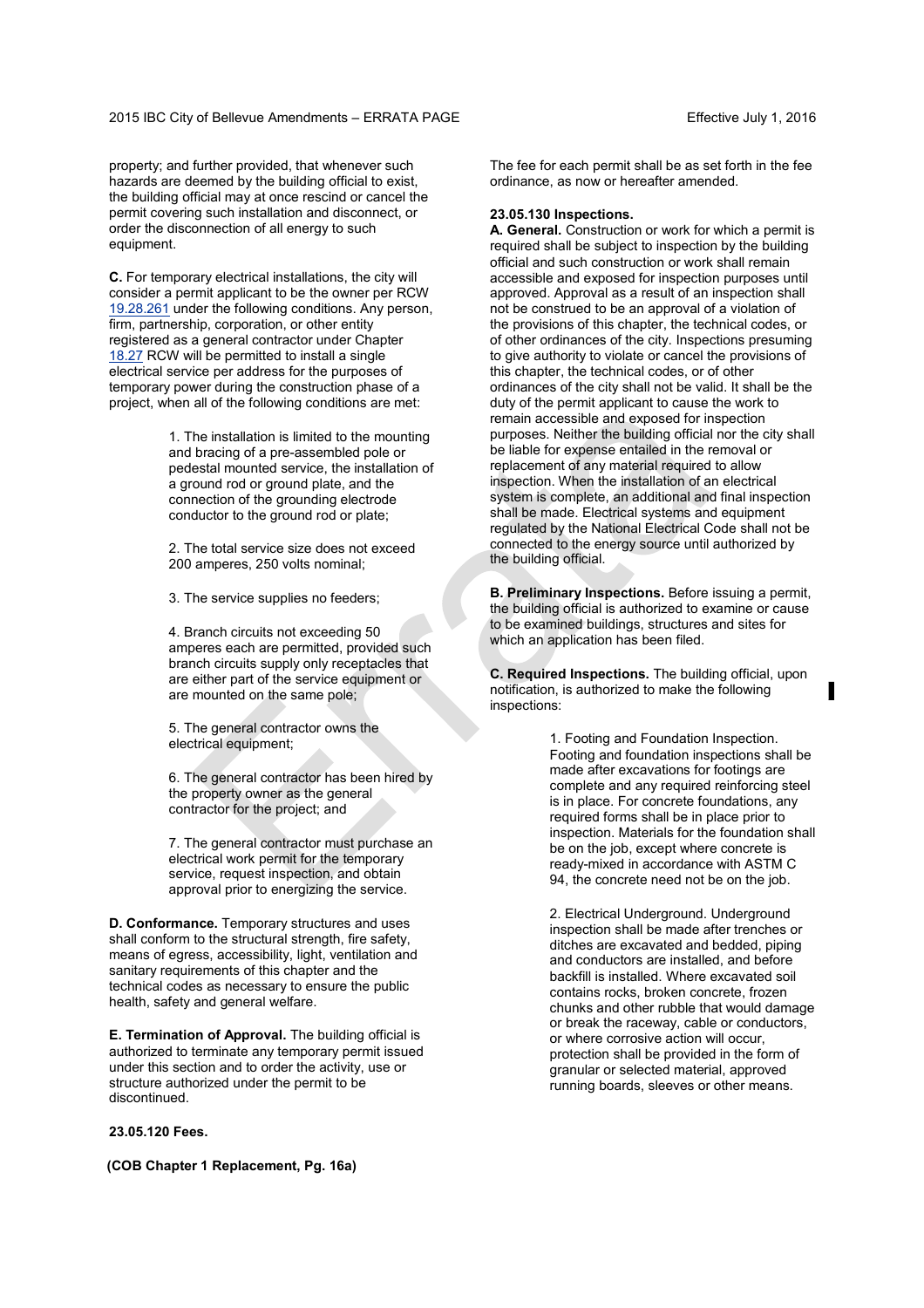property; and further provided, that whenever such hazards are deemed by the building official to exist, the building official may at once rescind or cancel the permit covering such installation and disconnect, or order the disconnection of all energy to such equipment.

**C.** For temporary electrical installations, the city will consider a permit applicant to be the owner per RCW 19.28.261 under the following conditions. Any person, firm, partnership, corporation, or other entity registered as a general contractor under Chapter 18.27 RCW will be permitted to install a single electrical service per address for the purposes of temporary power during the construction phase of a project, when all of the following conditions are met:

> 1. The installation is limited to the mounting and bracing of a pre-assembled pole or pedestal mounted service, the installation of a ground rod or ground plate, and the connection of the grounding electrode conductor to the ground rod or plate;

2. The total service size does not exceed 200 amperes, 250 volts nominal;

3. The service supplies no feeders;

4. Branch circuits not exceeding 50 amperes each are permitted, provided such branch circuits supply only receptacles that are either part of the service equipment or are mounted on the same pole;

5. The general contractor owns the electrical equipment;

6. The general contractor has been hired by the property owner as the general contractor for the project; and

7. The general contractor must purchase an electrical work permit for the temporary service, request inspection, and obtain approval prior to energizing the service.

**D. Conformance.** Temporary structures and uses shall conform to the structural strength, fire safety, means of egress, accessibility, light, ventilation and sanitary requirements of this chapter and the technical codes as necessary to ensure the public health, safety and general welfare.

**E. Termination of Approval.** The building official is authorized to terminate any temporary permit issued under this section and to order the activity, use or structure authorized under the permit to be discontinued.

# **23.05.120 Fees.**

**(COB Chapter 1 Replacement, Pg. 16a)**

The fee for each permit shall be as set forth in the fee ordinance, as now or hereafter amended.

# **23.05.130 Inspections.**

**A. General.** Construction or work for which a permit is required shall be subject to inspection by the building official and such construction or work shall remain accessible and exposed for inspection purposes until approved. Approval as a result of an inspection shall not be construed to be an approval of a violation of the provisions of this chapter, the technical codes, or of other ordinances of the city. Inspections presuming to give authority to violate or cancel the provisions of this chapter, the technical codes, or of other ordinances of the city shall not be valid. It shall be the duty of the permit applicant to cause the work to remain accessible and exposed for inspection purposes. Neither the building official nor the city shall be liable for expense entailed in the removal or replacement of any material required to allow inspection. When the installation of an electrical system is complete, an additional and final inspection shall be made. Electrical systems and equipment regulated by the National Electrical Code shall not be connected to the energy source until authorized by the building official.

**B. Preliminary Inspections.** Before issuing a permit, the building official is authorized to examine or cause to be examined buildings, structures and sites for which an application has been filed.

**C. Required Inspections.** The building official, upon notification, is authorized to make the following inspections:

> 1. Footing and Foundation Inspection. Footing and foundation inspections shall be made after excavations for footings are complete and any required reinforcing steel is in place. For concrete foundations, any required forms shall be in place prior to inspection. Materials for the foundation shall be on the job, except where concrete is ready-mixed in accordance with ASTM C 94, the concrete need not be on the job.

> 2. Electrical Underground. Underground inspection shall be made after trenches or ditches are excavated and bedded, piping and conductors are installed, and before backfill is installed. Where excavated soil contains rocks, broken concrete, frozen chunks and other rubble that would damage or break the raceway, cable or conductors, or where corrosive action will occur, protection shall be provided in the form of granular or selected material, approved running boards, sleeves or other means.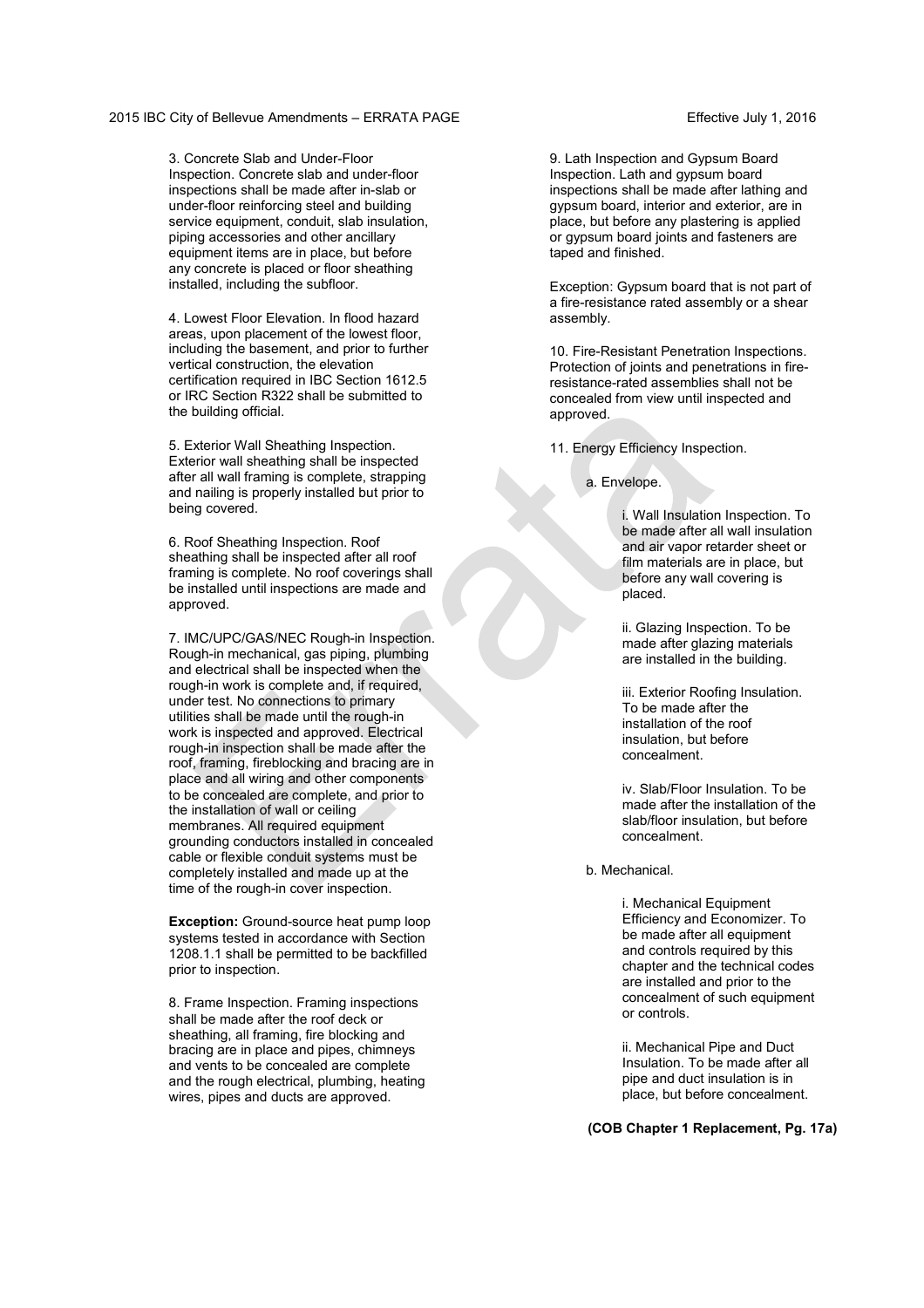3. Concrete Slab and Under-Floor Inspection. Concrete slab and under-floor inspections shall be made after in-slab or under-floor reinforcing steel and building service equipment, conduit, slab insulation, piping accessories and other ancillary equipment items are in place, but before any concrete is placed or floor sheathing installed, including the subfloor.

4. Lowest Floor Elevation. In flood hazard areas, upon placement of the lowest floor, including the basement, and prior to further vertical construction, the elevation certification required in IBC Section 1612.5 or IRC Section R322 shall be submitted to the building official.

5. Exterior Wall Sheathing Inspection. Exterior wall sheathing shall be inspected after all wall framing is complete, strapping and nailing is properly installed but prior to being covered.

6. Roof Sheathing Inspection. Roof sheathing shall be inspected after all roof framing is complete. No roof coverings shall be installed until inspections are made and approved.

7. IMC/UPC/GAS/NEC Rough-in Inspection. Rough-in mechanical, gas piping, plumbing and electrical shall be inspected when the rough-in work is complete and, if required, under test. No connections to primary utilities shall be made until the rough-in work is inspected and approved. Electrical rough-in inspection shall be made after the roof, framing, fireblocking and bracing are in place and all wiring and other components to be concealed are complete, and prior to the installation of wall or ceiling membranes. All required equipment grounding conductors installed in concealed cable or flexible conduit systems must be completely installed and made up at the time of the rough-in cover inspection.

**Exception:** Ground-source heat pump loop systems tested in accordance with Section 1208.1.1 shall be permitted to be backfilled prior to inspection.

8. Frame Inspection. Framing inspections shall be made after the roof deck or sheathing, all framing, fire blocking and bracing are in place and pipes, chimneys and vents to be concealed are complete and the rough electrical, plumbing, heating wires, pipes and ducts are approved.

9. Lath Inspection and Gypsum Board Inspection. Lath and gypsum board inspections shall be made after lathing and gypsum board, interior and exterior, are in place, but before any plastering is applied or gypsum board joints and fasteners are taped and finished.

Exception: Gypsum board that is not part of a fire-resistance rated assembly or a shear assembly.

10. Fire-Resistant Penetration Inspections. Protection of joints and penetrations in fireresistance-rated assemblies shall not be concealed from view until inspected and approved.

11. Energy Efficiency Inspection.

a. Envelope.

i. Wall Insulation Inspection. To be made after all wall insulation and air vapor retarder sheet or film materials are in place, but before any wall covering is placed.

ii. Glazing Inspection. To be made after glazing materials are installed in the building.

iii. Exterior Roofing Insulation. To be made after the installation of the roof insulation, but before concealment.

iv. Slab/Floor Insulation. To be made after the installation of the slab/floor insulation, but before concealment.

b. Mechanical.

i. Mechanical Equipment Efficiency and Economizer. To be made after all equipment and controls required by this chapter and the technical codes are installed and prior to the concealment of such equipment or controls.

ii. Mechanical Pipe and Duct Insulation. To be made after all pipe and duct insulation is in place, but before concealment.

**(COB Chapter 1 Replacement, Pg. 17a)**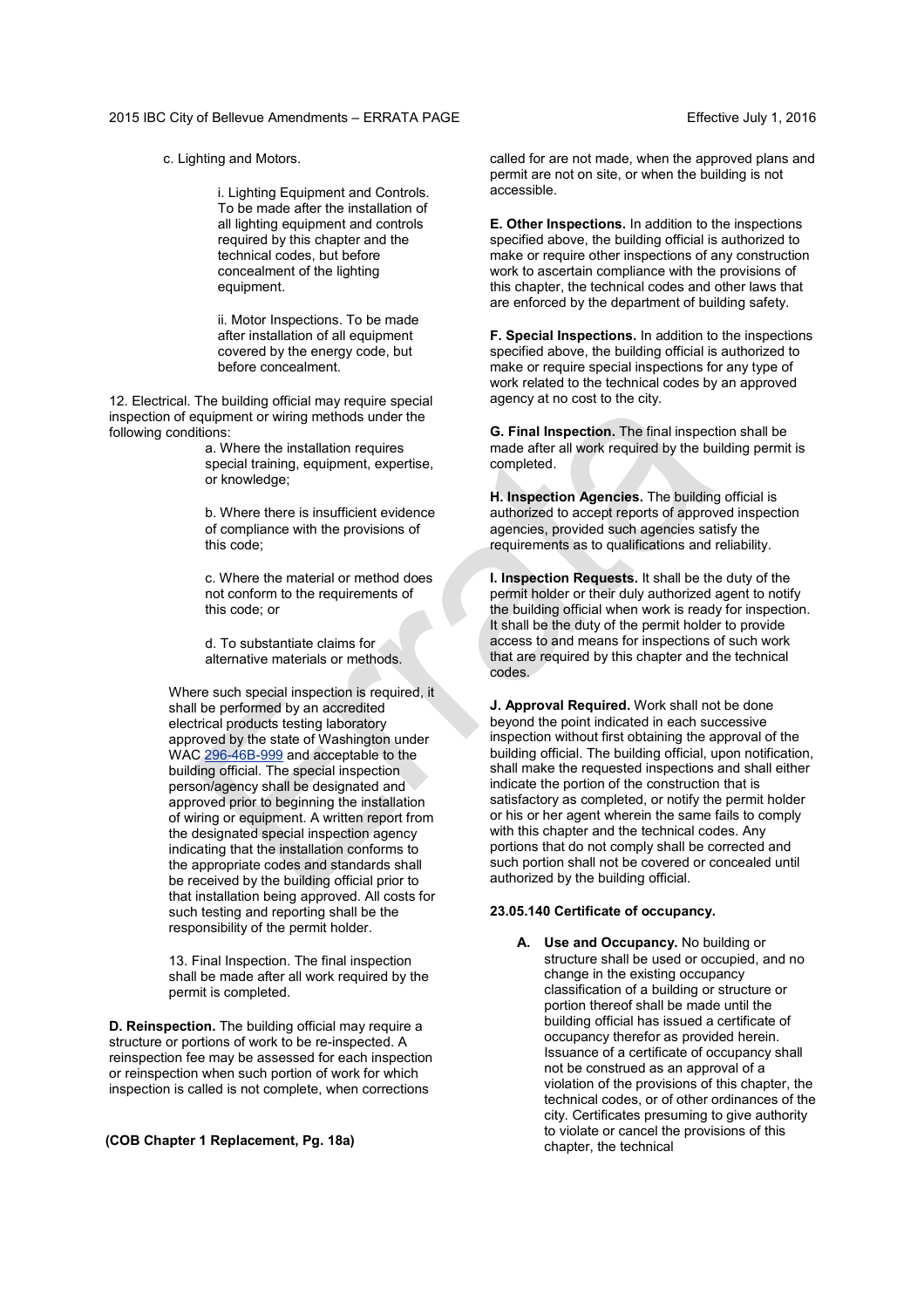c. Lighting and Motors.

i. Lighting Equipment and Controls. To be made after the installation of all lighting equipment and controls required by this chapter and the technical codes, but before concealment of the lighting equipment.

ii. Motor Inspections. To be made after installation of all equipment covered by the energy code, but before concealment.

12. Electrical. The building official may require special inspection of equipment or wiring methods under the following conditions:

> a. Where the installation requires special training, equipment, expertise, or knowledge;

> b. Where there is insufficient evidence of compliance with the provisions of this code;

> c. Where the material or method does not conform to the requirements of this code; or

d. To substantiate claims for alternative materials or methods.

Where such special inspection is required, it shall be performed by an accredited electrical products testing laboratory approved by the state of Washington under WAC 296-46B-999 and acceptable to the building official. The special inspection person/agency shall be designated and approved prior to beginning the installation of wiring or equipment. A written report from the designated special inspection agency indicating that the installation conforms to the appropriate codes and standards shall be received by the building official prior to that installation being approved. All costs for such testing and reporting shall be the responsibility of the permit holder.

13. Final Inspection. The final inspection shall be made after all work required by the permit is completed.

**D. Reinspection.** The building official may require a structure or portions of work to be re-inspected. A reinspection fee may be assessed for each inspection or reinspection when such portion of work for which inspection is called is not complete, when corrections

(COB Chapter 1 Replacement, Pg. 18a)

called for are not made, when the approved plans and permit are not on site, or when the building is not accessible.

**E. Other Inspections.** In addition to the inspections specified above, the building official is authorized to make or require other inspections of any construction work to ascertain compliance with the provisions of this chapter, the technical codes and other laws that are enforced by the department of building safety.

**F. Special Inspections.** In addition to the inspections specified above, the building official is authorized to make or require special inspections for any type of work related to the technical codes by an approved agency at no cost to the city.

**G. Final Inspection.** The final inspection shall be made after all work required by the building permit is completed.

**H. Inspection Agencies.** The building official is authorized to accept reports of approved inspection agencies, provided such agencies satisfy the requirements as to qualifications and reliability.

**I. Inspection Requests.** It shall be the duty of the permit holder or their duly authorized agent to notify the building official when work is ready for inspection. It shall be the duty of the permit holder to provide access to and means for inspections of such work that are required by this chapter and the technical codes.

**J. Approval Required.** Work shall not be done beyond the point indicated in each successive inspection without first obtaining the approval of the building official. The building official, upon notification, shall make the requested inspections and shall either indicate the portion of the construction that is satisfactory as completed, or notify the permit holder or his or her agent wherein the same fails to comply with this chapter and the technical codes. Any portions that do not comply shall be corrected and such portion shall not be covered or concealed until authorized by the building official.

# **23.05.140 Certificate of occupancy.**

**A. Use and Occupancy.** No building or structure shall be used or occupied, and no change in the existing occupancy classification of a building or structure or portion thereof shall be made until the building official has issued a certificate of occupancy therefor as provided herein. Issuance of a certificate of occupancy shall not be construed as an approval of a violation of the provisions of this chapter, the technical codes, or of other ordinances of the city. Certificates presuming to give authority to violate or cancel the provisions of this<br>chapter, the technical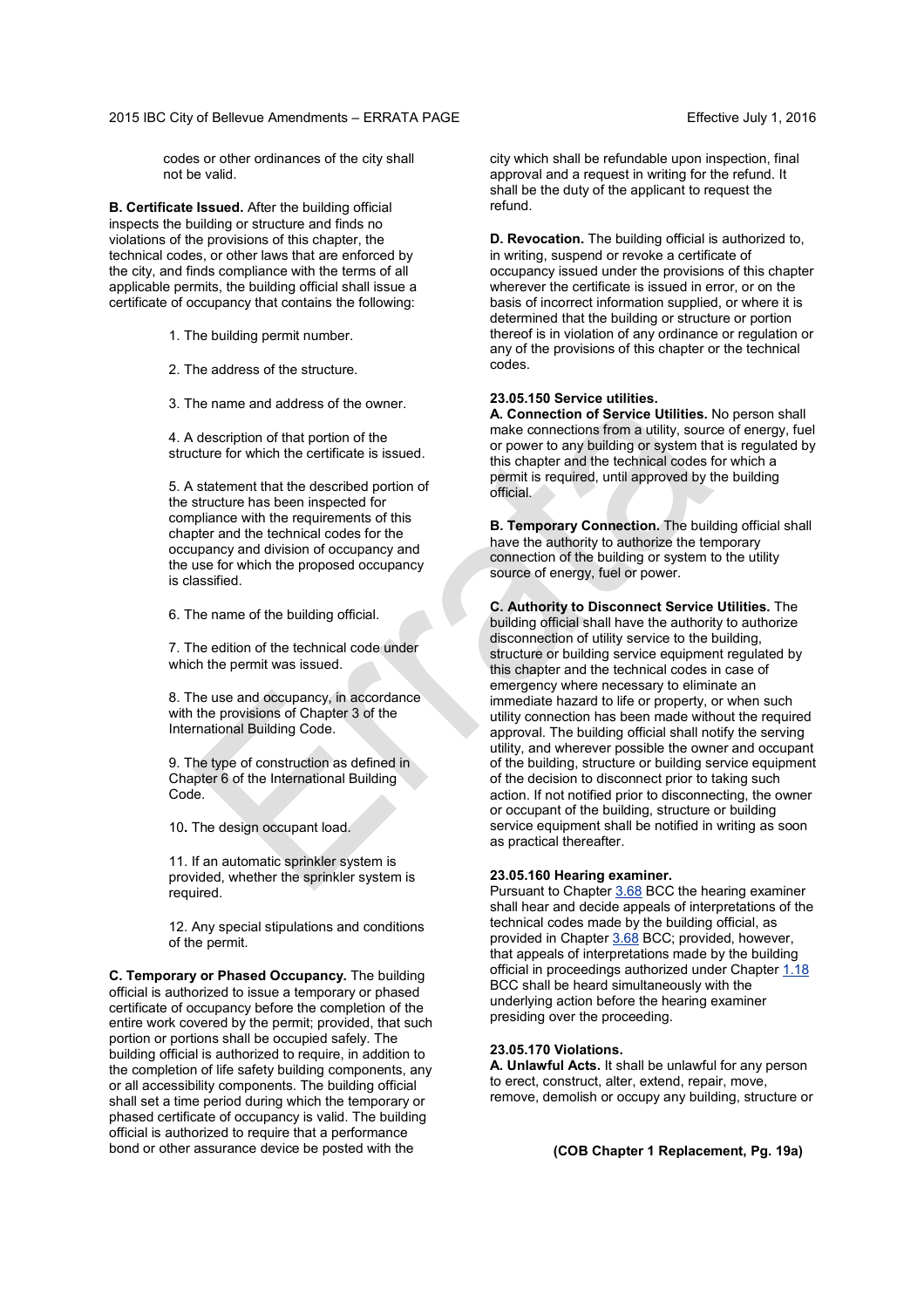codes or other ordinances of the city shall not be valid.

**B. Certificate Issued.** After the building official inspects the building or structure and finds no violations of the provisions of this chapter, the technical codes, or other laws that are enforced by the city, and finds compliance with the terms of all applicable permits, the building official shall issue a certificate of occupancy that contains the following:

- 1. The building permit number.
- 2. The address of the structure.
- 3. The name and address of the owner.

4. A description of that portion of the structure for which the certificate is issued.

5. A statement that the described portion of the structure has been inspected for compliance with the requirements of this chapter and the technical codes for the occupancy and division of occupancy and the use for which the proposed occupancy is classified.

6. The name of the building official.

7. The edition of the technical code under which the permit was issued.

8. The use and occupancy, in accordance with the provisions of Chapter 3 of the International Building Code.

9. The type of construction as defined in Chapter 6 of the International Building Code.

10**.** The design occupant load.

11. If an automatic sprinkler system is provided, whether the sprinkler system is required.

12. Any special stipulations and conditions of the permit.

**C. Temporary or Phased Occupancy.** The building official is authorized to issue a temporary or phased certificate of occupancy before the completion of the entire work covered by the permit; provided, that such portion or portions shall be occupied safely. The building official is authorized to require, in addition to the completion of life safety building components, any or all accessibility components. The building official shall set a time period during which the temporary or phased certificate of occupancy is valid. The building official is authorized to require that a performance bond or other assurance device be posted with the

city which shall be refundable upon inspection, final approval and a request in writing for the refund. It shall be the duty of the applicant to request the refund.

**D. Revocation.** The building official is authorized to, in writing, suspend or revoke a certificate of occupancy issued under the provisions of this chapter wherever the certificate is issued in error, or on the basis of incorrect information supplied, or where it is determined that the building or structure or portion thereof is in violation of any ordinance or regulation or any of the provisions of this chapter or the technical codes.

# **23.05.150 Service utilities.**

**A. Connection of Service Utilities.** No person shall make connections from a utility, source of energy, fuel or power to any building or system that is regulated by this chapter and the technical codes for which a permit is required, until approved by the building official.

**B. Temporary Connection.** The building official shall have the authority to authorize the temporary connection of the building or system to the utility source of energy, fuel or power.

**C. Authority to Disconnect Service Utilities.** The

building official shall have the authority to authorize disconnection of utility service to the building, structure or building service equipment regulated by this chapter and the technical codes in case of emergency where necessary to eliminate an immediate hazard to life or property, or when such utility connection has been made without the required approval. The building official shall notify the serving utility, and wherever possible the owner and occupant of the building, structure or building service equipment of the decision to disconnect prior to taking such action. If not notified prior to disconnecting, the owner or occupant of the building, structure or building service equipment shall be notified in writing as soon as practical thereafter.

## **23.05.160 Hearing examiner.**

Pursuant to Chapter 3.68 BCC the hearing examiner shall hear and decide appeals of interpretations of the technical codes made by the building official, as provided in Chapter 3.68 BCC; provided, however, that appeals of interpretations made by the building official in proceedings authorized under Chapter 1.18 BCC shall be heard simultaneously with the underlying action before the hearing examiner presiding over the proceeding.

# **23.05.170 Violations.**

**A. Unlawful Acts.** It shall be unlawful for any person to erect, construct, alter, extend, repair, move, remove, demolish or occupy any building, structure or

**(COB Chapter 1 Replacement, Pg. 19a)**